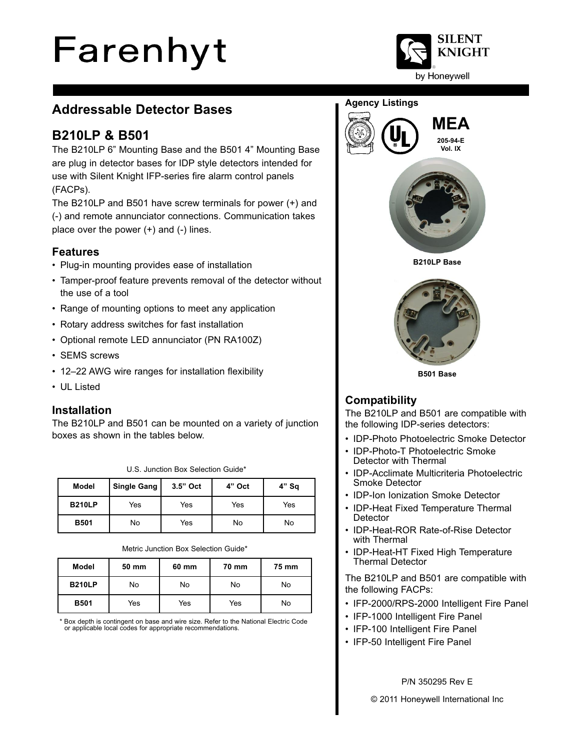# Farenhyt



# **Addressable Detector Bases**

# **B210LP & B501**

The B210LP 6" Mounting Base and the B501 4" Mounting Base are plug in detector bases for IDP style detectors intended for use with Silent Knight IFP-series fire alarm control panels (FACPs).

The B210LP and B501 have screw terminals for power (+) and (-) and remote annunciator connections. Communication takes place over the power (+) and (-) lines.

## **Features**

- Plug-in mounting provides ease of installation
- Tamper-proof feature prevents removal of the detector without the use of a tool
- Range of mounting options to meet any application
- Rotary address switches for fast installation
- Optional remote LED annunciator (PN RA100Z)
- SEMS screws
- 12–22 AWG wire ranges for installation flexibility
- UL Listed

## **Installation**

The B210LP and B501 can be mounted on a variety of junction boxes as shown in the tables below.

| Model         | <b>Single Gang</b> | 3.5" Oct | 4" Oct | $4"$ Sq |
|---------------|--------------------|----------|--------|---------|
| <b>B210LP</b> | Yes                | Yes      | Yes    | Yes     |
| <b>B501</b>   | No                 | Yes      | No     | No      |

U.S. Junction Box Selection Guide\*

Metric Junction Box Selection Guide\*

| Model         | 50 mm | 60 mm | 70 mm | 75 mm |
|---------------|-------|-------|-------|-------|
| <b>B210LP</b> | No    | No    | No    | No    |
| <b>B501</b>   | Yes   | Yes   | Yes   | No    |

Box depth is contingent on base and wire size. Refer to the National Electric Code or applicable local codes for appropriate recommendations.

## **Agency Listings**





**B501 Base**

## **Compatibility**

The B210LP and B501 are compatible with the following IDP-series detectors:

- IDP-Photo Photoelectric Smoke Detector
- IDP-Photo-T Photoelectric Smoke Detector with Thermal
- IDP-Acclimate Multicriteria Photoelectric Smoke Detector
- IDP-Ion Ionization Smoke Detector
- IDP-Heat Fixed Temperature Thermal **Detector**
- IDP-Heat-ROR Rate-of-Rise Detector with Thermal
- IDP-Heat-HT Fixed High Temperature Thermal Detector

The B210LP and B501 are compatible with the following FACPs:

- IFP-2000/RPS-2000 Intelligent Fire Panel
- IFP-1000 Intelligent Fire Panel
- IFP-100 Intelligent Fire Panel
- IFP-50 Intelligent Fire Panel

#### P/N 350295 Rev E